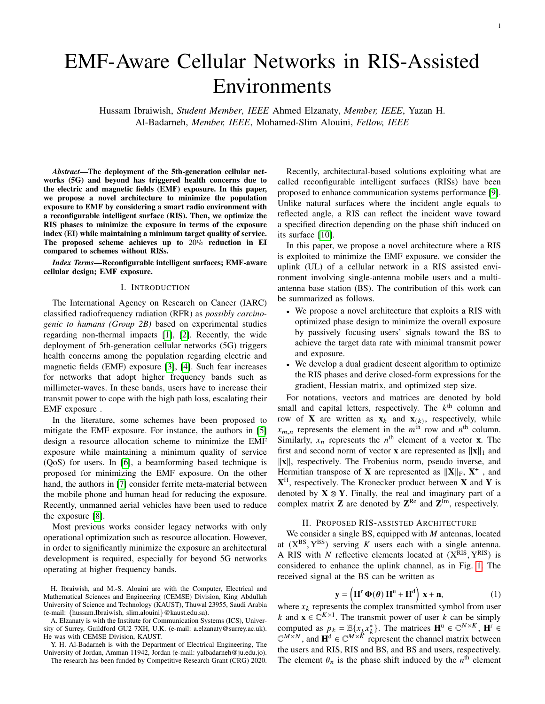# EMF-Aware Cellular Networks in RIS-Assisted Environments

Hussam Ibraiwish, *Student Member, IEEE* Ahmed Elzanaty, *Member, IEEE*, Yazan H. Al-Badarneh, *Member, IEEE*, Mohamed-Slim Alouini, *Fellow, IEEE*

*Abstract*—The deployment of the 5th-generation cellular networks (5G) and beyond has triggered health concerns due to the electric and magnetic fields (EMF) exposure. In this paper, we propose a novel architecture to minimize the population exposure to EMF by considering a smart radio environment with a reconfigurable intelligent surface (RIS). Then, we optimize the RIS phases to minimize the exposure in terms of the exposure index (EI) while maintaining a minimum target quality of service. The proposed scheme achieves up to 20% reduction in EI compared to schemes without RISs.

*Index Terms*—Reconfigurable intelligent surfaces; EMF-aware cellular design; EMF exposure.

## I. INTRODUCTION

The International Agency on Research on Cancer (IARC) classified radiofrequency radiation (RFR) as *possibly carcinogenic to humans (Group 2B)* based on experimental studies regarding non-thermal impacts [\[1\]](#page-4-0), [\[2\]](#page-4-1). Recently, the wide deployment of 5th-generation cellular networks (5G) triggers health concerns among the population regarding electric and magnetic fields (EMF) exposure [\[3\]](#page-4-2), [\[4\]](#page-4-3). Such fear increases for networks that adopt higher frequency bands such as millimeter-waves. In these bands, users have to increase their transmit power to cope with the high path loss, escalating their EMF exposure .

In the literature, some schemes have been proposed to mitigate the EMF exposure. For instance, the authors in [\[5\]](#page-4-4) design a resource allocation scheme to minimize the EMF exposure while maintaining a minimum quality of service (QoS) for users. In [\[6\]](#page-4-5), a beamforming based technique is proposed for minimizing the EMF exposure. On the other hand, the authors in [\[7\]](#page-4-6) consider ferrite meta-material between the mobile phone and human head for reducing the exposure. Recently, unmanned aerial vehicles have been used to reduce the exposure [\[8\]](#page-4-7).

Most previous works consider legacy networks with only operational optimization such as resource allocation. However, in order to significantly minimize the exposure an architectural development is required, especially for beyond 5G networks operating at higher frequency bands.

H. Ibraiwish, and M.-S. Alouini are with the Computer, Electrical and Mathematical Sciences and Engineering (CEMSE) Division, King Abdullah University of Science and Technology (KAUST), Thuwal 23955, Saudi Arabia (e-mail: {hussam.Ibraiwish, slim.alouini}@kaust.edu.sa).

A. Elzanaty is with the Institute for Communication Systems (ICS), University of Surrey, Guildford GU2 7XH, U.K. (e-mail: a.elzanaty@surrey.ac.uk). He was with CEMSE Division, KAUST.

Y. H. Al-Badarneh is with the Department of Electrical Engineering, The University of Jordan, Amman 11942, Jordan (e-mail: yalbadarneh@ju.edu.jo).

The research has been funded by Competitive Research Grant (CRG) 2020.

Recently, architectural-based solutions exploiting what are called reconfigurable intelligent surfaces (RISs) have been proposed to enhance communication systems performance [\[9\]](#page-4-8). Unlike natural surfaces where the incident angle equals to reflected angle, a RIS can reflect the incident wave toward a specified direction depending on the phase shift induced on its surface [\[10\]](#page-4-9).

In this paper, we propose a novel architecture where a RIS is exploited to minimize the EMF exposure. we consider the uplink (UL) of a cellular network in a RIS assisted environment involving single-antenna mobile users and a multiantenna base station (BS). The contribution of this work can be summarized as follows.

- We propose a novel architecture that exploits a RIS with optimized phase design to minimize the overall exposure by passively focusing users' signals toward the BS to achieve the target data rate with minimal transmit power and exposure.
- We develop a dual gradient descent algorithm to optimize the RIS phases and derive closed-form expressions for the gradient, Hessian matrix, and optimized step size.

For notations, vectors and matrices are denoted by bold small and capital letters, respectively. The  $k<sup>th</sup>$  column and row of **X** are written as  $\mathbf{x}_k$  and  $\mathbf{x}_{(k)}$ , respectively, while  $x_{m,n}$  represents the element in the  $m^{\text{th}}$  row and  $n^{\text{th}}$  column. Similarly,  $x_n$  represents the  $n^{\text{th}}$  element of a vector **x**. The first and second norm of vector **x** are represented as  $\|\mathbf{x}\|_1$  and  $\|\mathbf{x}\|$ , respectively. The Frobenius norm, pseudo inverse, and Hermitian transpose of **X** are represented as  $||\mathbf{X}||_F$ ,  $\mathbf{X}^+$ , and **X** <sup>H</sup>, respectively. The Kronecker product between **X** and **Y** is denoted by  $X \otimes Y$ . Finally, the real and imaginary part of a complex matrix **Z** are denoted by  $\mathbf{Z}^{\text{Re}}$  and  $\mathbf{Z}^{\text{Im}}$ , respectively.

## II. PROPOSED RIS-ASSISTED ARCHITECTURE

We consider a single BS, equipped with  $M$  antennas, located at  $(X^{BS}, Y^{BS})$  serving K users each with a single antenna. A RIS with N reflective elements located at  $(X<sup>RIS</sup>, Y<sup>RIS</sup>)$  is considered to enhance the uplink channel, as in Fig. [1.](#page-1-0) The received signal at the BS can be written as

$$
\mathbf{y} = \left(\mathbf{H}^{\mathrm{T}} \, \boldsymbol{\Phi}(\boldsymbol{\theta}) \, \mathbf{H}^{\mathrm{u}} + \mathbf{H}^{\mathrm{d}}\right) \, \mathbf{x} + \mathbf{n},\tag{1}
$$

where  $x_k$  represents the complex transmitted symbol from user *k* and  $\mathbf{x} \in \mathbb{C}^{K \times 1}$ . The transmit power of user *k* can be simply computed as  $p_k = \mathbb{E}\{x_k x_k^*\}$ . The matrices  $\mathbf{H}^u \in \mathbb{C}^{N \times K}$ ,  $\mathbf{H}^{\mathsf{T}}$  $\mathbb{C}^{M \times N}$ , and  $\mathbf{H}^d \in \mathbb{C}^{M \times K}$  represent the channel matrix between the users and RIS, RIS and BS, and BS and users, respectively. The element  $\theta_n$  is the phase shift induced by the  $n^{\text{th}}$  element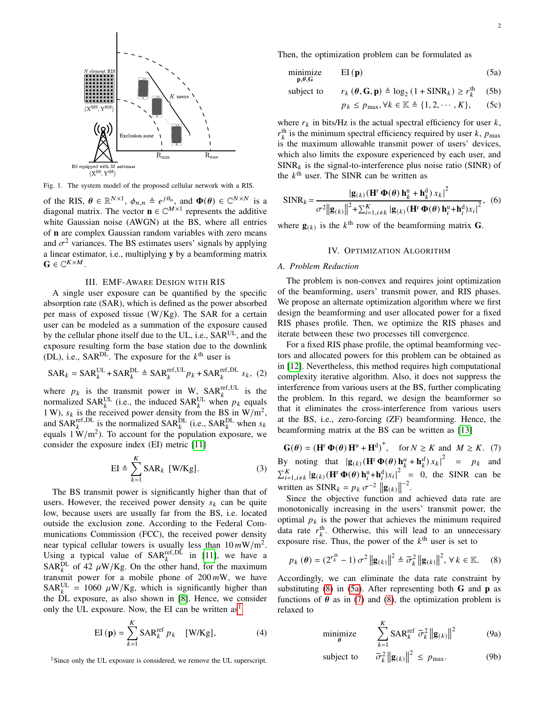

<span id="page-1-0"></span>Fig. 1. The system model of the proposed cellular network with a RIS.

of the RIS,  $\theta \in \mathbb{R}^{N \times 1}$ ,  $\phi_{n,n} \triangleq e^{j\theta_n}$ , and  $\Phi(\theta) \in \mathbb{C}^{N \times N}$  is a diagonal matrix. The vector  $\mathbf{n} \in \mathbb{C}^{M \times 1}$  represents the additive white Gaussian noise (AWGN) at the BS, where all entries of **n** are complex Gaussian random variables with zero means and  $\sigma^2$  variances. The BS estimates users' signals by applying a linear estimator, i.e., multiplying **y** by a beamforming matrix  $\mathbf{G} \in \mathbb{C}^{K \times M}$ .

## III. EMF-AWARE DESIGN WITH RIS

A single user exposure can be quantified by the specific absorption rate (SAR), which is defined as the power absorbed per mass of exposed tissue  $(W/Kg)$ . The SAR for a certain user can be modeled as a summation of the exposure caused by the cellular phone itself due to the UL, i.e.,  $SAR^{UL}$ , and the exposure resulting form the base station due to the downlink (DL), i.e.,  $SAR^{DL}$ . The exposure for the  $k^{\text{th}}$  user is

$$
\text{SAR}_k = \text{SAR}_k^{\text{UL}} + \text{SAR}_k^{\text{DL}} \triangleq \text{SAR}_k^{\text{ref,UL}} p_k + \text{SAR}_k^{\text{ref,DL}} s_k, (2)
$$

where  $p_k$  is the transmit power in W, SAR<sup>ref,UL</sup> is the normalized SAR<sup>UL</sup> (i.e., the induced SAR<sup>UL</sup> when  $p_k$  equals 1 W),  $s_k$  is the received power density from the BS in W/m<sup>2</sup>, and SAR<sup>pL</sup> is the normalized SAR<sup>pL</sup> (i.e., SAR<sub>k</sub>L when  $s_k$ ) equals  $1 \text{ W/m}^2$ ). To account for the population exposure, we consider the exposure index (EI) metric [\[11\]](#page-4-10)

$$
EI \triangleq \sum_{k=1}^{K} SAR_k \ [W/Kg]. \tag{3}
$$

The BS transmit power is significantly higher than that of users. However, the received power density  $s_k$  can be quite low, because users are usually far from the BS, i.e. located outside the exclusion zone. According to the Federal Communications Commission (FCC), the received power density near typical cellular towers is usually less than  $10 \, mW/m^2$ . Using a typical value of  $SAR_k^{\text{ref,DL}}$  in [\[11\]](#page-4-10), we have a SAR<sup>DL</sup> of 42  $\mu$ W/Kg. On the other hand, for the maximum transmit power for a mobile phone of  $200 \, mW$ , we have  $SAR_k^{\text{UL}} = 1060 \ \mu\text{W/Kg}$ , which is significantly higher than the DL exposure, as also shown in [\[8\]](#page-4-7). Hence, we consider only the UL exposure. Now, the EI can be written  $as<sup>1</sup>$  $as<sup>1</sup>$  $as<sup>1</sup>$ 

EI (**p**) = 
$$
\sum_{k=1}^{K} \text{SAR}_{k}^{\text{ref}} p_{k} \quad [\text{W/Kg}],
$$
 (4)

<span id="page-1-1"></span><sup>1</sup>Since only the UL exposure is considered, we remove the UL superscript.

Then, the optimization problem can be formulated as

$$
\underset{\mathbf{p}, \theta, \mathbf{G}}{\text{minimize}} \qquad \text{EI}(\mathbf{p}) \tag{5a}
$$

subject to 
$$
r_k(\theta, \mathbf{G}, \mathbf{p}) \triangleq \log_2 (1 + \text{SINR}_k) \ge r_k^{\text{th}}
$$
 (5b)

<span id="page-1-6"></span><span id="page-1-3"></span>
$$
p_k \le p_{\max}, \forall k \in \mathbb{K} \triangleq \{1, 2, \cdots, K\}, \qquad (5c)
$$

where  $r_k$  in bits/Hz is the actual spectral efficiency for user  $k$ ,  $r_k^{\text{th}}$  is the minimum spectral efficiency required by user k,  $p_{\text{max}}$ is the maximum allowable transmit power of users' devices, which also limits the exposure experienced by each user, and  $SINR_k$  is the signal-to-interference plus noise ratio (SINR) of the  $k^{\text{th}}$  user. The SINR can be written as

$$
\text{SINR}_k = \frac{|\mathbf{g}_{(k)}(\mathbf{H}^{\text{T}}\mathbf{\Phi}(\boldsymbol{\theta})\mathbf{h}_k^{\text{u}} + \mathbf{h}_k^{\text{d}}) x_k|^2}{\sigma^2 ||\mathbf{g}_{(k)}||^2 + \sum_{i=1, i \neq k}^K |\mathbf{g}_{(k)}(\mathbf{H}^{\text{T}}\mathbf{\Phi}(\boldsymbol{\theta})\mathbf{h}_i^{\text{u}} + \mathbf{h}_i^{\text{d}}) x_i|^2}, \quad (6)
$$

where  $\mathbf{g}_{(k)}$  is the  $k^{\text{th}}$  row of the beamforming matrix **G**.

#### IV. OPTIMIZATION ALGORITHM

#### *A. Problem Reduction*

The problem is non-convex and requires joint optimization of the beamforming, users' transmit power, and RIS phases. We propose an alternate optimization algorithm where we first design the beamforming and user allocated power for a fixed RIS phases profile. Then, we optimize the RIS phases and iterate between these two processes till convergence.

For a fixed RIS phase profile, the optimal beamforming vectors and allocated powers for this problem can be obtained as in [\[12\]](#page-4-11). Nevertheless, this method requires high computational complexity iterative algorithm. Also, it does not suppress the interference from various users at the BS, further complicating the problem. In this regard, we design the beamformer so that it eliminates the cross-interference from various users at the BS, i.e., zero-forcing (ZF) beamforming. Hence, the beamforming matrix at the BS can be written as [\[13\]](#page-4-12)

<span id="page-1-4"></span> $G(\theta) = (H^r \Phi(\theta) H^u + H^d)^+$ , for  $N \ge K$  and  $M \ge K$ . (7) By noting that  $|\mathbf{g}_{(k)}(\mathbf{H}^{\mathsf{T}}\mathbf{\Phi}(\boldsymbol{\theta}))\mathbf{h}_{k}^{\mu} + \mathbf{h}_{k}^{d}\big| x_{k}|^{2} = p_{k}$  and  $\sum_{i=1, i \neq k}^{K} |\mathbf{g}_{(k)}(\mathbf{H}^{\mathsf{T}} \mathbf{\Phi}(\boldsymbol{\theta}) \mathbf{h}^{\mathsf{u}}_i + \mathbf{h}^{\mathsf{d}}_i) x_i|^2 = 0$ , the SINR can be written as  $\text{SINR}_k = p_k \sigma^{-2} ||\mathbf{g}_{(k)}||$ −2 .

Since the objective function and achieved data rate are monotonically increasing in the users' transmit power, the optimal  $p_k$  is the power that achieves the minimum required data rate  $r_k^{\text{th}}$ . Otherwise, this will lead to an unnecessary exposure rise. Thus, the power of the  $k^{\text{th}}$  user is set to

$$
p_k(\boldsymbol{\theta}) = (2^{r_k^{\text{th}}} - 1) \sigma^2 \left\| \mathbf{g}_{(k)} \right\|^2 \triangleq \widetilde{\sigma}_k^2 \left\| \mathbf{g}_{(k)} \right\|^2, \forall k \in \mathbb{K}.
$$
 (8)

Accordingly, we can eliminate the data rate constraint by substituting [\(8\)](#page-1-2) in [\(5a\)](#page-1-3). After representing both **G** and **p** as functions of  $\theta$  as in [\(7\)](#page-1-4) and [\(8\)](#page-1-2), the optimization problem is relaxed to

<span id="page-1-5"></span><span id="page-1-2"></span>
$$
\underset{\theta}{\text{minimize}} \qquad \sum_{k=1}^{K} \text{SAR}_{k}^{\text{ref}} \ \widetilde{\sigma}_{k}^{2} \left\| \mathbf{g}_{(k)} \right\|^{2} \tag{9a}
$$

subject to  $\|g_{(k)}\|^2 \leq p_{\text{max}}.$  (9b)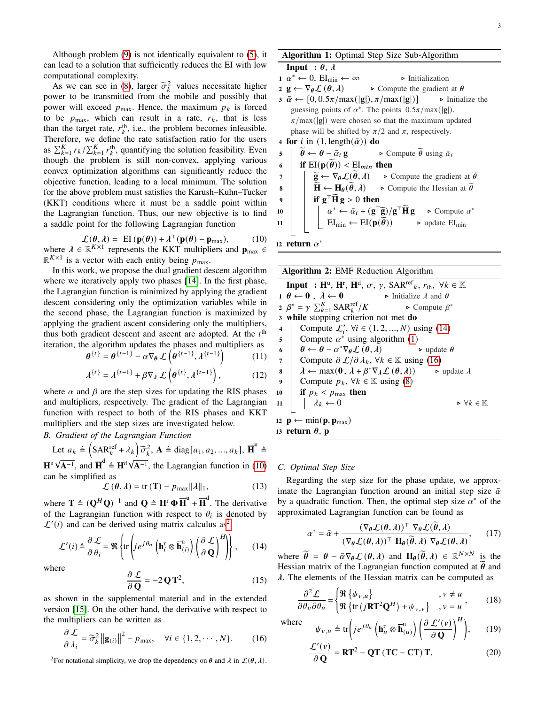3

Although problem [\(9\)](#page-1-5) is not identically equivalent to [\(5\)](#page-1-6), it can lead to a solution that sufficiently reduces the EI with low computational complexity.

As we can see in [\(8\)](#page-1-2), larger  $\tilde{\sigma}_k^2$  values necessitate higher<br>wer to be transmitted from the mobile and possibly that power to be transmitted from the mobile and possibly that power will exceed  $p_{\text{max}}$ . Hence, the maximum  $p_k$  is forced to be  $p_{\text{max}}$ , which can result in a rate,  $r_k$ , that is less than the target rate,  $r_k^{\text{th}}$ , i.e., the problem becomes infeasible. Therefore, we define the rate satisfaction ratio for the users as  $\sum_{k=1}^{K} r_k / \sum_{k=1}^{K} r_k^{\text{th}}$ , quantifying the solution feasibility. Even though the problem is still non-convex, applying various convex optimization algorithms can significantly reduce the objective function, leading to a local minimum. The solution for the above problem must satisfies the Karush–Kuhn–Tucker (KKT) conditions where it must be a saddle point within the Lagrangian function. Thus, our new objective is to find a saddle point for the following Lagrangian function

<span id="page-2-0"></span>
$$
\mathcal{L}(\boldsymbol{\theta}, \lambda) = \mathbb{E} \mathbf{I}(\mathbf{p}(\boldsymbol{\theta})) + \lambda^{\top} (\mathbf{p}(\boldsymbol{\theta}) - \mathbf{p}_{\text{max}}), \quad (10)
$$

where  $\lambda \in \mathbb{R}^{K \times 1}$  represents the KKT multipliers and  $\mathbf{p}_{\text{max}} \in$  $\mathbb{R}^{K\times 1}$  is a vector with each entity being  $p_{\text{max}}$ .

In this work, we propose the dual gradient descent algorithm where we iteratively apply two phases [\[14\]](#page-4-13). In the first phase, the Lagrangian function is minimized by applying the gradient descent considering only the optimization variables while in the second phase, the Lagrangian function is maximized by applying the gradient ascent considering only the multipliers, thus both gradient descent and ascent are adopted. At the  $t<sup>th</sup>$ iteration, the algorithm updates the phases and multipliers as  $\boldsymbol{\theta}$ ĺ  $\{t-1\}$  $\{t-1\}$ Ι

$$
\theta^{\{t\}} = \theta^{\{t-1\}} - \alpha \nabla_{\theta} \mathcal{L}\left(\theta^{\{t-1\}}, \lambda^{\{t-1\}}\right) \tag{11}
$$

$$
\lambda^{\{t\}} = \lambda^{\{t-1\}} + \beta \nabla_{\lambda} \mathcal{L}\left(\theta^{\{t\}}, \lambda^{\{t-1\}}\right),\tag{12}
$$

where  $\alpha$  and  $\beta$  are the step sizes for updating the RIS phases and multipliers, respectively. The gradient of the Lagrangian function with respect to both of the RIS phases and KKT multipliers and the step sizes are investigated below.

## *B. Gradient of the Lagrangian Function*

Let 
$$
a_k \triangleq \left(\text{SAR}_k^{\text{ref}} + \lambda_k\right) \widetilde{\sigma}_k^2
$$
,  $\mathbf{A} \triangleq \text{diag}[a_1, a_2, ..., a_k]$ ,  $\overline{\mathbf{H}}^{\text{u}} \triangleq$ 

**H**u  $\overrightarrow{\mathbf{A}^{-1}}$ , and  $\overrightarrow{\mathbf{H}}^{d} \triangleq \mathbf{H}^{d} \sqrt{d}$ **A**−<sup>1</sup> , the Lagrangian function in [\(10\)](#page-2-0) can be simplified as

$$
\mathcal{L}(\theta, \lambda) = \text{tr}(\mathbf{T}) - p_{\text{max}} ||\lambda||_1, \qquad (13)
$$

where  $\mathbf{T} \triangleq (\mathbf{Q}^H \mathbf{Q})^{-1}$  and  $\mathbf{Q} \triangleq \mathbf{H}^{\text{t}} \boldsymbol{\Phi} \overline{\mathbf{H}}^{\text{u}} + \overline{\mathbf{H}}^{\text{d}}$ . The derivative of the Lagrangian function with respect to  $\theta_i$  is denoted by  $\mathcal{L}'(i)$  and can be derived using matrix calculus as<sup>[2](#page-2-1)</sup>

<span id="page-2-2"></span>
$$
\mathcal{L}'(i) \triangleq \frac{\partial \mathcal{L}}{\partial \theta_i} = \Re \left\{ \text{tr} \left( j e^{j\theta_n} \left( \mathbf{h}_i^{\text{r}} \otimes \overline{\mathbf{h}}_{(i)}^{\text{u}} \right) \left( \frac{\partial \mathcal{L}}{\partial \mathbf{Q}} \right)^H \right) \right\},\qquad(14)
$$

where

$$
\frac{\partial \mathcal{L}}{\partial \mathbf{Q}} = -2\mathbf{Q}\mathbf{T}^2,\tag{15}
$$

as shown in the supplemental material and in the extended version [\[15\]](#page-4-14). On the other hand, the derivative with respect to the multipliers can be written as

<span id="page-2-4"></span>
$$
\frac{\partial \mathcal{L}}{\partial \lambda_i} = \widetilde{\sigma}_k^2 \left\| \mathbf{g}_{(i)} \right\|^2 - p_{\text{max}}, \quad \forall i \in \{1, 2, \cdots, N\}.
$$
 (16)

<span id="page-2-1"></span><sup>2</sup>For notational simplicity, we drop the dependency on  $\theta$  and  $\lambda$  in  $\mathcal{L}(\theta, \lambda)$ .

Algorithm 1: Optimal Step Size Sub-Algorithm **Input** :  $\theta$ ,  $\lambda$  $1 \ \alpha^* \leftarrow 0, \ \text{EI}_{\text{min}} \leftarrow \infty$   $\triangleright$  Initialization 2 **g** ←  $\nabla_{\theta} \mathcal{L} (\theta, \lambda)$   $\rightarrow$  Compute the gradient at  $\theta$ 3  $\bar{\alpha}$  ← [0, 0.5 $\pi$ /max(|**g**|),  $\pi$ /max(|**g**|)]  $\rightarrow$  Initialize the guessing points of  $\alpha^*$ . The points  $0.5\pi/\max(|g|)$ ,  $\pi$ /max(|**g**|) were chosen so that the maximum updated phase will be shifted by  $\pi/2$  and  $\pi$ , respectively. 4 for *i* in  $(1, \text{length}(\bar{\alpha}))$  do 5  $\theta \leftarrow \theta - \bar{\alpha}_i \mathbf{g}$  > Compute  $\theta$  using  $\bar{\alpha}_i$ <br>6 **if** EI( $\mathbf{p}(\theta)$ ) < EI<sub>min</sub> then 6 if  $\text{EI}(\mathbf{p}(\widetilde{\boldsymbol{\theta}})) < \text{EI}_{min}$  then<br>  $\tau$  |  $\widetilde{\mathbf{g}} \leftarrow \nabla_{\boldsymbol{\theta}} \mathcal{L}(\widetilde{\boldsymbol{\theta}}, \lambda) \rightarrow \mathbb{C}$ 7 **a e**  $\overline{\mathbf{g}} \leftarrow \nabla_{\theta} \mathcal{L}(\overline{\theta}, \lambda)$  **⊳** Compute the gradient at  $\overline{\theta}$ <br> **a e i i**  $\overline{\mathbf{H}} \leftarrow \mathbf{H}_{\theta}(\overline{\theta}, \lambda)$  **⊳** Compute the Hessian at  $\overline{\theta}$ ► Compute the Hessian at  $\tilde{\theta}$ 

9  
\n10  
\n
$$
\begin{array}{|c|c|c|c|c|}\n\hline\n\text{if } g^\top \widetilde{\mathbf{H}} \, g > 0 \text{ then} \\
\hline\n\begin{array}{c|c|c}\n\hline\n\alpha^* & \leftarrow & \bar{\alpha}_i + (g^\top \widetilde{g})/g^\top \widetilde{\mathbf{H}} \, g & \rightarrow \text{ Compute } \alpha^* \\
\hline\n\end{array}\n\hline\n\end{array}
$$
\n11  
\n
$$
\text{EI}_{\text{min}} \leftarrow \text{EI}(p(\widetilde{\theta})) \qquad \Rightarrow \text{update } \text{EI}_{\text{min}}
$$

<span id="page-2-3"></span>12 return  $\alpha^*$ 

Algorithm 2: EMF Reduction Algorithm **Input** :  $\mathbf{H}^{\mathrm{u}}, \mathbf{H}^{\mathrm{r}}, \mathbf{H}^{\mathrm{d}}, \sigma, \gamma, \text{SAR}^{\mathrm{ref}}_{k}, r_{\mathrm{th}}, \ \forall k \in \mathbb{K}$ 1  $\theta \leftarrow 0$ ,  $\lambda \leftarrow 0$   $\rightarrow$  Initialize  $\lambda$  and  $\theta$ 2  $\beta^* = \gamma \sum_{k=1}^K \text{SAR}_k^{\text{ref}}$  $/K$  ► Compute  $\beta^*$ <sup>3</sup> while stopping criterion not met do 4 Compute  $\mathcal{L}'_i$ ,  $\forall i \in (1, 2, ..., N)$  using [\(14\)](#page-2-2) 5 Compute  $\alpha^*$  using algorithm [\(1\)](#page-2-3) 6  $\theta \leftarrow \theta - \alpha^* \nabla_{\theta} \mathcal{L}(\theta, \lambda)$   $\rightarrow$  update  $\theta$ 7 Compute  $\partial \mathcal{L}/\partial \lambda_k$ ,  $\forall k \in \mathbb{K}$  using [\(16\)](#page-2-4) 8  $\boldsymbol{\lambda} \leftarrow \max(\boldsymbol{0}, \lambda + \beta^* \nabla_{\lambda} \mathcal{L}(\boldsymbol{\theta}, \lambda))$  ► update  $\lambda$ 9 Compute  $p_k$ ,  $\forall k \in \mathbb{K}$  using [\(8\)](#page-1-2) 10 if  $p_k$  <  $p_{\text{max}}$  then 11  $\lambda_k \leftarrow 0$   $\rightarrow \forall k \in \mathbb{K}$ 12  $\mathbf{p} \leftarrow \min(\mathbf{p}, \mathbf{p}_{\max})$ 13 return  $\theta$ , p

## *C. Optimal Step Size*

Regarding the step size for the phase update, we approximate the Lagrangian function around an initial step size  $\bar{\alpha}$ by a quadratic function. Then, the optimal step size  $\alpha^*$  of the approximated Lagrangian function can be found as

<span id="page-2-5"></span>
$$
\alpha^* = \bar{\alpha} + \frac{(\nabla_{\theta} \mathcal{L}(\theta, \lambda))^{\top} \nabla_{\theta} \mathcal{L}(\tilde{\theta}, \lambda)}{(\nabla_{\theta} \mathcal{L}(\theta, \lambda))^{\top} \mathbf{H}_{\theta}(\tilde{\theta}, \lambda) \nabla_{\theta} \mathcal{L}(\theta, \lambda)},
$$
(17)

where  $\tilde{\theta} = \theta - \bar{\alpha} \nabla_{\theta} \mathcal{L}(\theta, \lambda)$  and  $\mathbf{H}_{\theta}(\tilde{\theta}, \lambda) \in \mathbb{R}^{N \times N}$  is the Hessian matrix of the Lagrangian function computed at  $\theta$  and  $\lambda$ . The elements of the Hessian matrix can be computed as

$$
\frac{\partial^2 \mathcal{L}}{\partial \theta_v \partial \theta_u} = \begin{cases} \mathfrak{R} \left\{ \psi_{v,u} \right\} & , v \neq u \\ \mathfrak{R} \left\{ \text{tr} \left( j \mathbf{R} \mathbf{T}^2 \mathbf{Q}^H \right) + \psi_{v,v} \right\} & , v = u \end{cases}, \quad (18)
$$

whe

$$
\text{where} \quad \psi_{v,u} \triangleq \text{tr}\bigg(j e^{j\theta_u} \left(\mathbf{h}_u^{\text{r}} \otimes \overline{\mathbf{h}}_{(u)}^{\text{u}}\right) \left(\frac{\partial \mathcal{L}'(v)}{\partial \mathbf{Q}}\right)^H\bigg), \qquad (19)
$$

$$
\frac{\mathcal{L}'(v)}{\partial \mathbf{Q}} = \mathbf{RT}^2 - \mathbf{QT} (\mathbf{TC} - \mathbf{CT}) \mathbf{T},\tag{20}
$$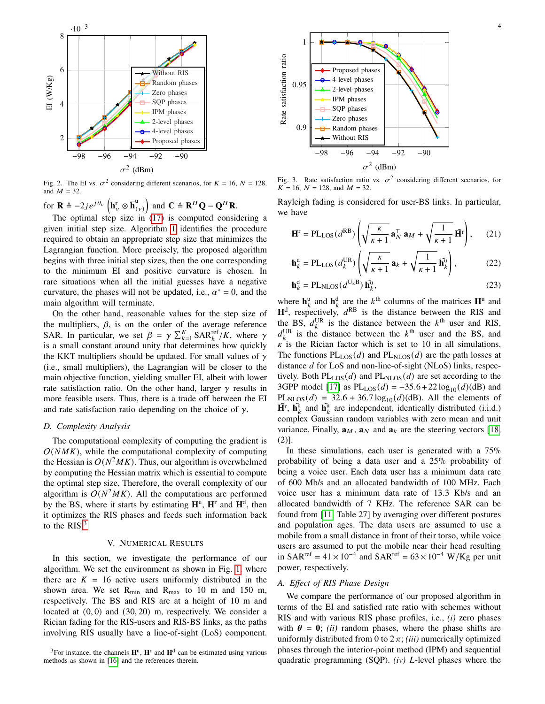

<span id="page-3-1"></span>Fig. 2. The EI vs.  $\sigma^2$  considering different scenarios, for  $K = 16$ ,  $N = 128$ , and  $M = 32$ .

for  $\mathbf{R} \triangleq -2j e^{j\theta_v} \left( \mathbf{h}_v^r \otimes \overline{\mathbf{h}}_{(v)}^u \right)$  and  $\mathbf{C} \triangleq \mathbf{R}^H \mathbf{Q} - \mathbf{Q}^H \mathbf{R}$ .

The optimal step size in  $(17)$  is computed considering a given initial step size. Algorithm [1](#page-2-3) identifies the procedure required to obtain an appropriate step size that minimizes the Lagrangian function. More precisely, the proposed algorithm begins with three initial step sizes, then the one corresponding to the minimum EI and positive curvature is chosen. In rare situations when all the initial guesses have a negative curvature, the phases will not be updated, i.e.,  $\alpha^* = 0$ , and the main algorithm will terminate.

On the other hand, reasonable values for the step size of the multipliers,  $\beta$ , is on the order of the average reference SAR. In particular, we set  $\beta = \gamma \sum_{k=1}^{K} \text{SAR}_{k}^{\text{ref}}/K$ , where  $\gamma$ is a small constant around unity that determines how quickly the KKT multipliers should be updated. For small values of  $\gamma$ (i.e., small multipliers), the Lagrangian will be closer to the main objective function, yielding smaller EI, albeit with lower rate satisfaction ratio. On the other hand, larger  $\gamma$  results in more feasible users. Thus, there is a trade off between the EI and rate satisfaction ratio depending on the choice of  $\gamma$ .

## *D. Complexity Analysis*

The computational complexity of computing the gradient is  $O(NMK)$ , while the computational complexity of computing the Hessian is  $O(N^2MK)$ . Thus, our algorithm is overwhelmed by computing the Hessian matrix which is essential to compute the optimal step size. Therefore, the overall complexity of our algorithm is  $O(N^2MK)$ . All the computations are performed by the BS, where it starts by estimating **H**<sup>u</sup> , **H**<sup>r</sup> and **H**<sup>d</sup> , then it optimizes the RIS phases and feeds such information back to the  $RIS<sup>3</sup>$  $RIS<sup>3</sup>$  $RIS<sup>3</sup>$ 

## V. NUMERICAL RESULTS

In this section, we investigate the performance of our algorithm. We set the environment as shown in Fig. [1,](#page-1-0) where there are  $K = 16$  active users uniformly distributed in the shown area. We set  $R_{min}$  and  $R_{max}$  to 10 m and 150 m, respectively. The BS and RIS are at a height of 10 m and located at  $(0, 0)$  and  $(30, 20)$  m, respectively. We consider a Rician fading for the RIS-users and RIS-BS links, as the paths involving RIS usually have a line-of-sight (LoS) component.

<span id="page-3-0"></span>



<span id="page-3-2"></span>Fig. 3. Rate satisfaction ratio vs.  $\sigma^2$  considering different scenarios, for  $K = 16$ ,  $N = 128$ , and  $M = 32$ .

Rayleigh fading is considered for user-BS links. In particular, we have

$$
\mathbf{H}^{\mathrm{r}} = \mathrm{PL}_{\mathrm{LOS}}(d^{\mathrm{RB}}) \left( \sqrt{\frac{\kappa}{\kappa + 1}} \, \mathbf{a}_{N}^{\top} \, \mathbf{a}_{M} + \sqrt{\frac{1}{\kappa + 1}} \, \tilde{\mathbf{H}}^{\mathrm{r}} \right), \qquad (21)
$$

$$
\mathbf{h}_{k}^{\mathrm{u}} = \mathrm{PL}_{\mathrm{LOS}}(d_{k}^{\mathrm{UR}}) \left( \sqrt{\frac{\kappa}{\kappa + 1}} \, \mathbf{a}_{k} + \sqrt{\frac{1}{\kappa + 1}} \, \mathbf{h}_{k}^{\mathrm{u}} \right),\tag{22}
$$

$$
\mathbf{h}_{k}^{\mathrm{d}} = \mathrm{PL}_{\mathrm{NLOS}}(d^{\mathrm{U}_{k}\mathrm{B}}) \,\tilde{\mathbf{h}}_{k}^{\mathrm{u}},\tag{23}
$$

where  $\mathbf{h}_k^{\text{u}}$  and  $\mathbf{h}_k^{\text{d}}$  are the  $k^{\text{th}}$  columns of the matrices  $\mathbf{H}^{\text{u}}$  and  $H<sup>d</sup>$ , respectively,  $d<sup>RB</sup>$  is the distance between the RIS and the BS,  $d_k^{\text{UR}}$  is the distance between the  $k^{\text{th}}$  user and RIS,  $d_k^{\text{UB}}$  is the distance between the  $k^{\text{th}}$  user and the BS, and  $\kappa$  is the Rician factor which is set to 10 in all simulations. The functions  $PL_{LOS}(d)$  and  $PL_{NLOS}(d)$  are the path losses at distance  $d$  for LoS and non-line-of-sight (NLoS) links, respectively. Both  $PL_{LOS}(d)$  and  $PL_{NLOS}(d)$  are set according to the 3GPP model [\[17\]](#page-4-16) as  $PL_{LOS}(d) = -35.6 + 22 \log_{10}(d)(dB)$  and  $PL<sub>NLOS</sub>(d) = 32.6 + 36.7 log<sub>10</sub>(d)(dB)$ . All the elements of  $\tilde{\mathbf{H}}^{\text{t}}$ ,  $\tilde{\mathbf{h}}_k^{\text{u}}$  and  $\tilde{\mathbf{h}}_k^{\text{u}}$  are independent, identically distributed (i.i.d.) complex Gaussian random variables with zero mean and unit variance. Finally,  $\mathbf{a}_M$ ,  $\mathbf{a}_N$  and  $\mathbf{a}_k$  are the steering vectors [\[18,](#page-4-17) (2)].

In these simulations, each user is generated with a 75% probability of being a data user and a 25% probability of being a voice user. Each data user has a minimum data rate of 600 Mb/s and an allocated bandwidth of 100 MHz. Each voice user has a minimum data rate of 13.3 Kb/s and an allocated bandwidth of 7 KHz. The reference SAR can be found from [\[11,](#page-4-10) Table 27] by averaging over different postures and population ages. The data users are assumed to use a mobile from a small distance in front of their torso, while voice users are assumed to put the mobile near their head resulting in SAR<sup>ref</sup> = 41 × 10<sup>-4</sup> and SAR<sup>ref</sup> = 63 × 10<sup>-4</sup> W/Kg per unit power, respectively.

# *A. Effect of RIS Phase Design*

We compare the performance of our proposed algorithm in terms of the EI and satisfied rate ratio with schemes without RIS and with various RIS phase profiles, i.e., *(i)* zero phases with  $\theta = 0$ ; *(ii)* random phases, where the phase shifts are uniformly distributed from 0 to  $2\pi$ ; *(iii)* numerically optimized phases through the interior-point method (IPM) and sequential quadratic programming (SQP). *(iv)* L-level phases where the